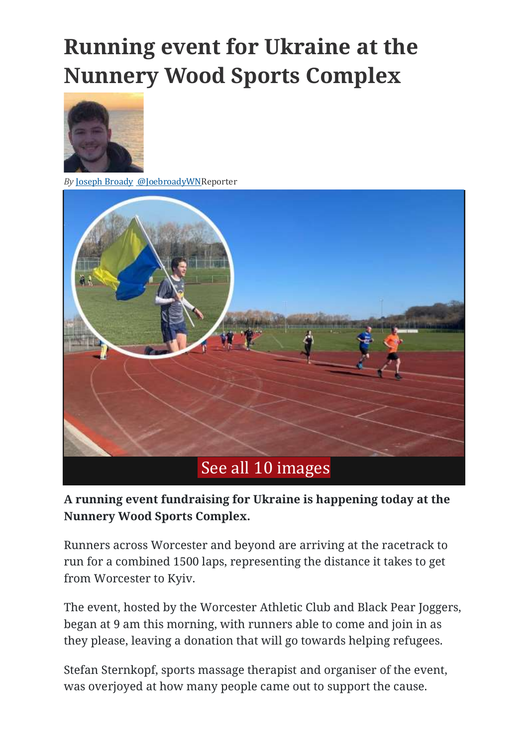## **Running event for Ukraine at the Nunnery Wood Sports Complex**



*By* Joseph [Broady](https://www.worcesternews.co.uk/author/profile/297350.Joseph_Broady/) [@JoebroadyWNR](http://www.twitter.com/@JoebroadyWN)eporter



**A running event fundraising for Ukraine is happening today at the Nunnery Wood Sports Complex.**

Runners across Worcester and beyond are arriving at the racetrack to run for a combined 1500 laps, representing the distance it takes to get from Worcester to Kyiv.

The event, hosted by the Worcester Athletic Club and Black Pear Joggers, began at 9 am this morning, with runners able to come and join in as they please, leaving a donation that will go towards helping refugees.

Stefan Sternkopf, sports massage therapist and organiser of the event, was overjoyed at how many people came out to support the cause.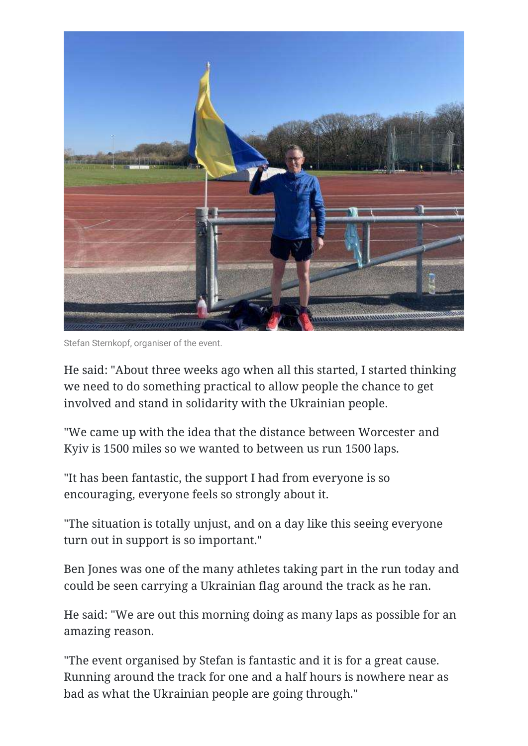

Stefan Sternkopf, organiser of the event.

He said: "About three weeks ago when all this started, I started thinking we need to do something practical to allow people the chance to get involved and stand in solidarity with the Ukrainian people.

"We came up with the idea that the distance between Worcester and Kyiv is 1500 miles so we wanted to between us run 1500 laps.

"It has been fantastic, the support I had from everyone is so encouraging, everyone feels so strongly about it.

"The situation is totally unjust, and on a day like this seeing everyone turn out in support is so important."

Ben Jones was one of the many athletes taking part in the run today and could be seen carrying a Ukrainian flag around the track as he ran.

He said: "We are out this morning doing as many laps as possible for an amazing reason.

"The event organised by Stefan is fantastic and it is for a great cause. Running around the track for one and a half hours is nowhere near as bad as what the Ukrainian people are going through."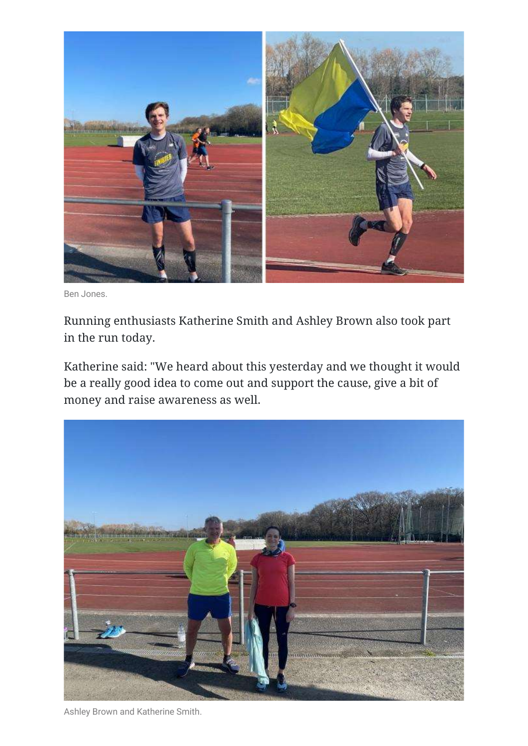

Ben Jones.

Running enthusiasts Katherine Smith and Ashley Brown also took part in the run today.

Katherine said: "We heard about this yesterday and we thought it would be a really good idea to come out and support the cause, give a bit of money and raise awareness as well.



Ashley Brown and Katherine Smith.